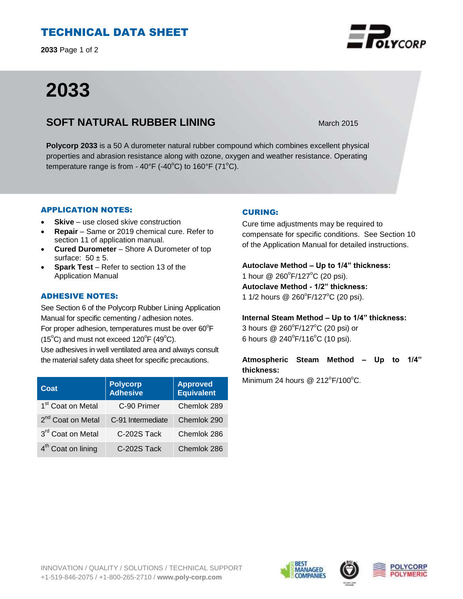# TECHNICAL DATA SHEET

**2033** Page 1 of 2

# **2033**

## **SOFT NATURAL RUBBER LINING** March 2015

**Polycorp 2033** is a 50 A durometer natural rubber compound which combines excellent physical properties and abrasion resistance along with ozone, oxygen and weather resistance. Operating temperature range is from -  $40^{\circ}F$  (- $40^{\circ}C$ ) to  $160^{\circ}F$  (71 $^{\circ}C$ ).

## APPLICATION NOTES:

- **Skive** use closed skive construction
- **Repair**  Same or 2019 chemical cure. Refer to section 11 of application manual.
- **Cured Durometer**  Shore A Durometer of top surface:  $50 \pm 5$ .
- **Spark Test**  Refer to section 13 of the Application Manual

## ADHESIVE NOTES:

See Section 6 of the Polycorp Rubber Lining Application Manual for specific cementing / adhesion notes. For proper adhesion, temperatures must be over  $60^{\circ}$ F  $(15^{\circ}C)$  and must not exceed  $120^{\circ}F(49^{\circ}C)$ . Use adhesives in well ventilated area and always consult the material safety data sheet for specific precautions.

| Coat                           | <b>Polycorp</b><br>Adhesive | <b>Approved</b><br><b>Equivalent</b> |
|--------------------------------|-----------------------------|--------------------------------------|
| 1 <sup>st</sup> Coat on Metal  | C-90 Primer                 | Chemlok 289                          |
| 2 <sup>nd</sup> Coat on Metal  | C-91 Intermediate           | Chemlok 290                          |
| 3rd Coat on Metal              | C-202S Tack                 | Chemlok 286                          |
| 4 <sup>th</sup> Coat on lining | C-202S Tack                 | Chemlok 286                          |

## CURING:

Cure time adjustments may be required to compensate for specific conditions. See Section 10 of the Application Manual for detailed instructions.

## **Autoclave Method – Up to 1/4" thickness:**  1 hour @ 260°F/127°C (20 psi).

**Autoclave Method - 1/2" thickness:**  1 1/2 hours @ 260 $\degree$ F/127 $\degree$ C (20 psi).

## **Internal Steam Method – Up to 1/4" thickness:**

3 hours @ 260°F/127°C (20 psi) or 6 hours  $@ 240^{\circ}F/116^{\circ}C$  (10 psi).

## **Atmospheric Steam Method – Up to 1/4" thickness:**

Minimum 24 hours @  $212^{\circ}F/100^{\circ}C$ .